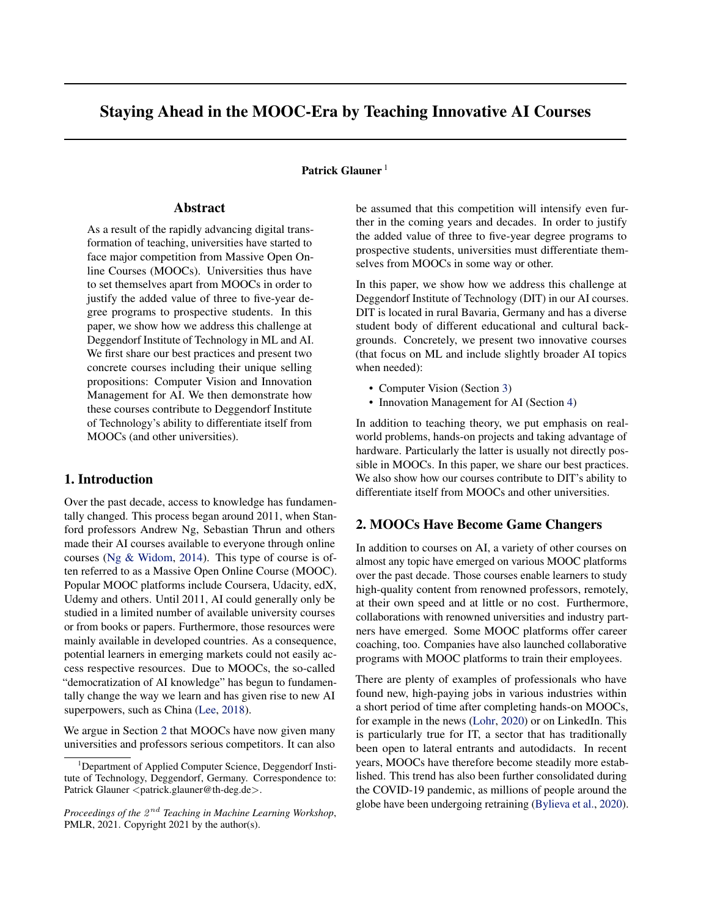# Staying Ahead in the MOOC-Era by Teaching Innovative AI Courses

#### Patrick Glauner<sup>1</sup>

### Abstract

As a result of the rapidly advancing digital transformation of teaching, universities have started to face major competition from Massive Open Online Courses (MOOCs). Universities thus have to set themselves apart from MOOCs in order to justify the added value of three to five-year degree programs to prospective students. In this paper, we show how we address this challenge at Deggendorf Institute of Technology in ML and AI. We first share our best practices and present two concrete courses including their unique selling propositions: Computer Vision and Innovation Management for AI. We then demonstrate how these courses contribute to Deggendorf Institute of Technology's ability to differentiate itself from MOOCs (and other universities).

## 1. Introduction

Over the past decade, access to knowledge has fundamentally changed. This process began around 2011, when Stanford professors Andrew Ng, Sebastian Thrun and others made their AI courses available to everyone through online courses [\(Ng & Widom,](#page-4-0) [2014\)](#page-4-0). This type of course is often referred to as a Massive Open Online Course (MOOC). Popular MOOC platforms include Coursera, Udacity, edX, Udemy and others. Until 2011, AI could generally only be studied in a limited number of available university courses or from books or papers. Furthermore, those resources were mainly available in developed countries. As a consequence, potential learners in emerging markets could not easily access respective resources. Due to MOOCs, the so-called "democratization of AI knowledge" has begun to fundamentally change the way we learn and has given rise to new AI superpowers, such as China [\(Lee,](#page-4-0) [2018\)](#page-4-0).

We argue in Section 2 that MOOCs have now given many universities and professors serious competitors. It can also

be assumed that this competition will intensify even further in the coming years and decades. In order to justify the added value of three to five-year degree programs to prospective students, universities must differentiate themselves from MOOCs in some way or other.

In this paper, we show how we address this challenge at Deggendorf Institute of Technology (DIT) in our AI courses. DIT is located in rural Bavaria, Germany and has a diverse student body of different educational and cultural backgrounds. Concretely, we present two innovative courses (that focus on ML and include slightly broader AI topics when needed):

- Computer Vision (Section [3\)](#page-1-0)
- Innovation Management for AI (Section [4\)](#page-3-0)

In addition to teaching theory, we put emphasis on realworld problems, hands-on projects and taking advantage of hardware. Particularly the latter is usually not directly possible in MOOCs. In this paper, we share our best practices. We also show how our courses contribute to DIT's ability to differentiate itself from MOOCs and other universities.

## 2. MOOCs Have Become Game Changers

In addition to courses on AI, a variety of other courses on almost any topic have emerged on various MOOC platforms over the past decade. Those courses enable learners to study high-quality content from renowned professors, remotely, at their own speed and at little or no cost. Furthermore, collaborations with renowned universities and industry partners have emerged. Some MOOC platforms offer career coaching, too. Companies have also launched collaborative programs with MOOC platforms to train their employees.

There are plenty of examples of professionals who have found new, high-paying jobs in various industries within a short period of time after completing hands-on MOOCs, for example in the news [\(Lohr,](#page-4-0) [2020\)](#page-4-0) or on LinkedIn. This is particularly true for IT, a sector that has traditionally been open to lateral entrants and autodidacts. In recent years, MOOCs have therefore become steadily more established. This trend has also been further consolidated during the COVID-19 pandemic, as millions of people around the globe have been undergoing retraining [\(Bylieva et al.,](#page-4-0) [2020\)](#page-4-0).

<sup>&</sup>lt;sup>1</sup>Department of Applied Computer Science, Deggendorf Institute of Technology, Deggendorf, Germany. Correspondence to: Patrick Glauner <patrick.glauner@th-deg.de>.

Proceedings of the  $2^{nd}$  Teaching in Machine Learning Workshop, PMLR, 2021. Copyright 2021 by the author(s).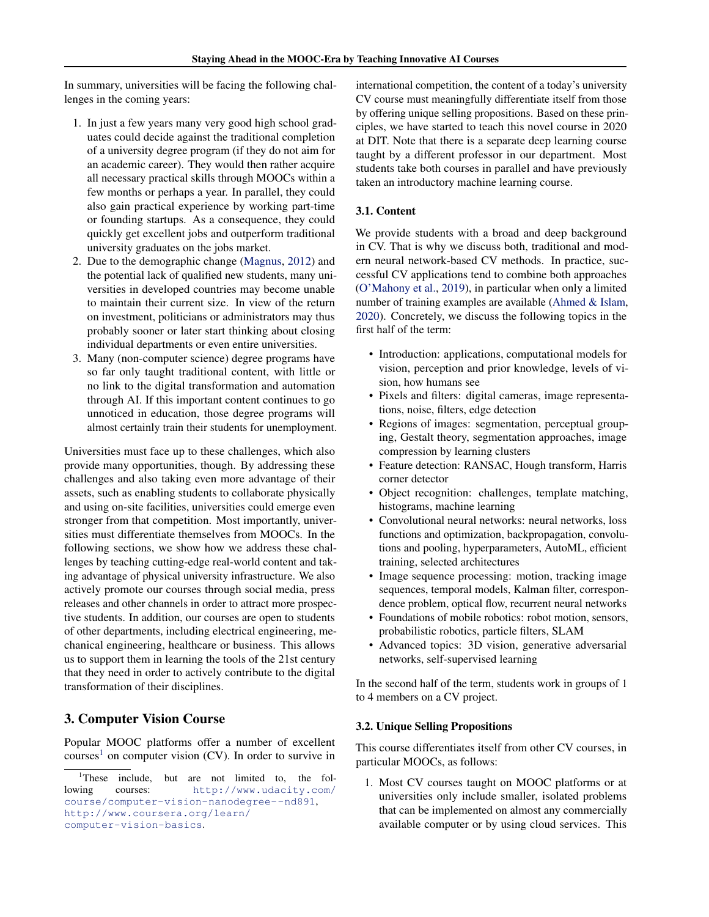<span id="page-1-0"></span>In summary, universities will be facing the following challenges in the coming years:

- 1. In just a few years many very good high school graduates could decide against the traditional completion of a university degree program (if they do not aim for an academic career). They would then rather acquire all necessary practical skills through MOOCs within a few months or perhaps a year. In parallel, they could also gain practical experience by working part-time or founding startups. As a consequence, they could quickly get excellent jobs and outperform traditional university graduates on the jobs market.
- 2. Due to the demographic change [\(Magnus,](#page-4-0) [2012\)](#page-4-0) and the potential lack of qualified new students, many universities in developed countries may become unable to maintain their current size. In view of the return on investment, politicians or administrators may thus probably sooner or later start thinking about closing individual departments or even entire universities.
- 3. Many (non-computer science) degree programs have so far only taught traditional content, with little or no link to the digital transformation and automation through AI. If this important content continues to go unnoticed in education, those degree programs will almost certainly train their students for unemployment.

Universities must face up to these challenges, which also provide many opportunities, though. By addressing these challenges and also taking even more advantage of their assets, such as enabling students to collaborate physically and using on-site facilities, universities could emerge even stronger from that competition. Most importantly, universities must differentiate themselves from MOOCs. In the following sections, we show how we address these challenges by teaching cutting-edge real-world content and taking advantage of physical university infrastructure. We also actively promote our courses through social media, press releases and other channels in order to attract more prospective students. In addition, our courses are open to students of other departments, including electrical engineering, mechanical engineering, healthcare or business. This allows us to support them in learning the tools of the 21st century that they need in order to actively contribute to the digital transformation of their disciplines.

# 3. Computer Vision Course

Popular MOOC platforms offer a number of excellent courses<sup>1</sup> on computer vision  $(CV)$ . In order to survive in international competition, the content of a today's university CV course must meaningfully differentiate itself from those by offering unique selling propositions. Based on these principles, we have started to teach this novel course in 2020 at DIT. Note that there is a separate deep learning course taught by a different professor in our department. Most students take both courses in parallel and have previously taken an introductory machine learning course.

#### 3.1. Content

We provide students with a broad and deep background in CV. That is why we discuss both, traditional and modern neural network-based CV methods. In practice, successful CV applications tend to combine both approaches [\(O'Mahony et al.,](#page-4-0) [2019\)](#page-4-0), in particular when only a limited number of training examples are available [\(Ahmed & Islam,](#page-4-0) [2020\)](#page-4-0). Concretely, we discuss the following topics in the first half of the term:

- Introduction: applications, computational models for vision, perception and prior knowledge, levels of vision, how humans see
- Pixels and filters: digital cameras, image representations, noise, filters, edge detection
- Regions of images: segmentation, perceptual grouping, Gestalt theory, segmentation approaches, image compression by learning clusters
- Feature detection: RANSAC, Hough transform, Harris corner detector
- Object recognition: challenges, template matching, histograms, machine learning
- Convolutional neural networks: neural networks, loss functions and optimization, backpropagation, convolutions and pooling, hyperparameters, AutoML, efficient training, selected architectures
- Image sequence processing: motion, tracking image sequences, temporal models, Kalman filter, correspondence problem, optical flow, recurrent neural networks
- Foundations of mobile robotics: robot motion, sensors, probabilistic robotics, particle filters, SLAM
- Advanced topics: 3D vision, generative adversarial networks, self-supervised learning

In the second half of the term, students work in groups of 1 to 4 members on a CV project.

#### 3.2. Unique Selling Propositions

This course differentiates itself from other CV courses, in particular MOOCs, as follows:

1. Most CV courses taught on MOOC platforms or at universities only include smaller, isolated problems that can be implemented on almost any commercially available computer or by using cloud services. This

<sup>&</sup>lt;sup>1</sup>These include, but are not limited to, the following courses: [http://www.udacity.com/](http://www.udacity.com/course/computer-vision-nanodegree--nd891) [course/computer-vision-nanodegree--nd891](http://www.udacity.com/course/computer-vision-nanodegree--nd891), [http://www.coursera.org/learn/](http://www.coursera.org/learn/computer-vision-basics) [computer-vision-basics](http://www.coursera.org/learn/computer-vision-basics).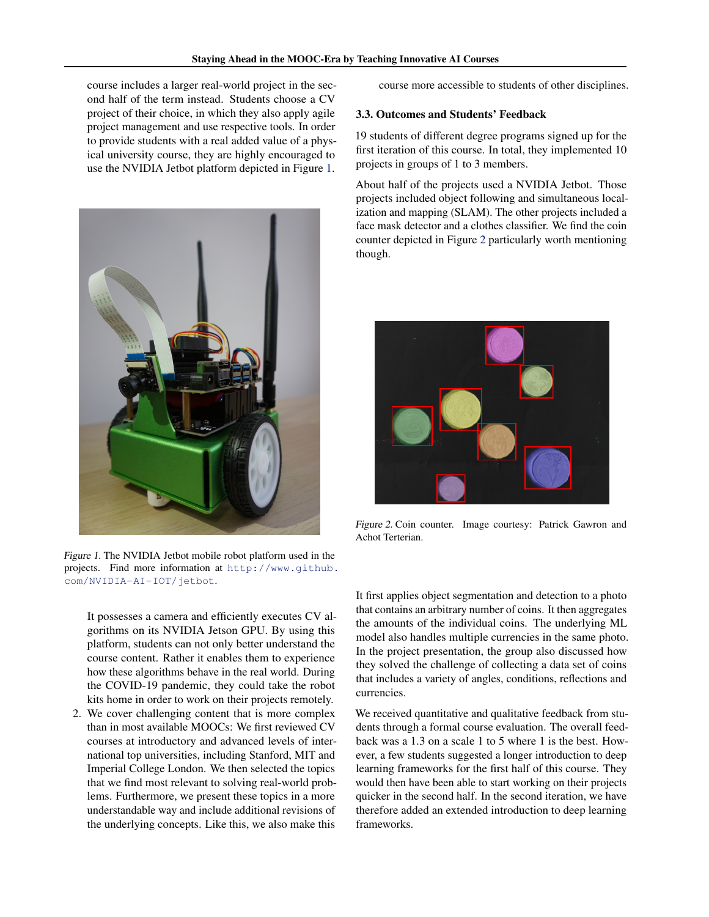course includes a larger real-world project in the second half of the term instead. Students choose a CV project of their choice, in which they also apply agile project management and use respective tools. In order to provide students with a real added value of a physical university course, they are highly encouraged to use the NVIDIA Jetbot platform depicted in Figure 1.



Figure 1. The NVIDIA Jetbot mobile robot platform used in the projects. Find more information at [http://www.github.](http://www.github.com/NVIDIA-AI-IOT/jetbot) [com/NVIDIA-AI-IOT/jetbot](http://www.github.com/NVIDIA-AI-IOT/jetbot).

It possesses a camera and efficiently executes CV algorithms on its NVIDIA Jetson GPU. By using this platform, students can not only better understand the course content. Rather it enables them to experience how these algorithms behave in the real world. During the COVID-19 pandemic, they could take the robot kits home in order to work on their projects remotely.

2. We cover challenging content that is more complex than in most available MOOCs: We first reviewed CV courses at introductory and advanced levels of international top universities, including Stanford, MIT and Imperial College London. We then selected the topics that we find most relevant to solving real-world problems. Furthermore, we present these topics in a more understandable way and include additional revisions of the underlying concepts. Like this, we also make this

course more accessible to students of other disciplines.

#### 3.3. Outcomes and Students' Feedback

19 students of different degree programs signed up for the first iteration of this course. In total, they implemented 10 projects in groups of 1 to 3 members.

About half of the projects used a NVIDIA Jetbot. Those projects included object following and simultaneous localization and mapping (SLAM). The other projects included a face mask detector and a clothes classifier. We find the coin counter depicted in Figure 2 particularly worth mentioning though.



Figure 2. Coin counter. Image courtesy: Patrick Gawron and Achot Terterian.

It first applies object segmentation and detection to a photo that contains an arbitrary number of coins. It then aggregates the amounts of the individual coins. The underlying ML model also handles multiple currencies in the same photo. In the project presentation, the group also discussed how they solved the challenge of collecting a data set of coins that includes a variety of angles, conditions, reflections and currencies.

We received quantitative and qualitative feedback from students through a formal course evaluation. The overall feedback was a 1.3 on a scale 1 to 5 where 1 is the best. However, a few students suggested a longer introduction to deep learning frameworks for the first half of this course. They would then have been able to start working on their projects quicker in the second half. In the second iteration, we have therefore added an extended introduction to deep learning frameworks.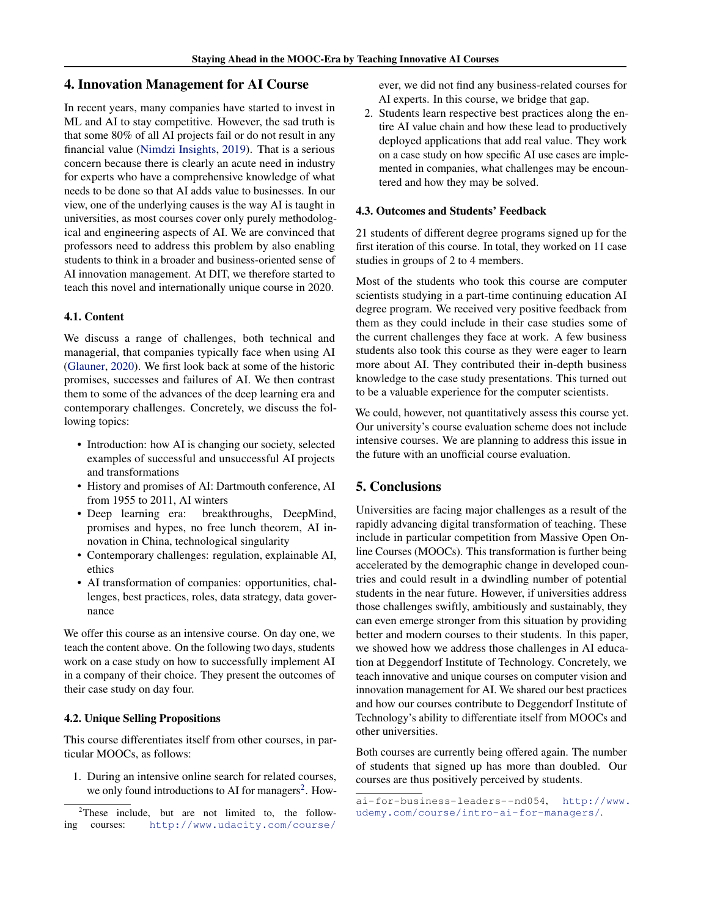# <span id="page-3-0"></span>4. Innovation Management for AI Course

In recent years, many companies have started to invest in ML and AI to stay competitive. However, the sad truth is that some 80% of all AI projects fail or do not result in any financial value [\(Nimdzi Insights,](#page-4-0) [2019\)](#page-4-0). That is a serious concern because there is clearly an acute need in industry for experts who have a comprehensive knowledge of what needs to be done so that AI adds value to businesses. In our view, one of the underlying causes is the way AI is taught in universities, as most courses cover only purely methodological and engineering aspects of AI. We are convinced that professors need to address this problem by also enabling students to think in a broader and business-oriented sense of AI innovation management. At DIT, we therefore started to teach this novel and internationally unique course in 2020.

#### 4.1. Content

We discuss a range of challenges, both technical and managerial, that companies typically face when using AI [\(Glauner,](#page-4-0) [2020\)](#page-4-0). We first look back at some of the historic promises, successes and failures of AI. We then contrast them to some of the advances of the deep learning era and contemporary challenges. Concretely, we discuss the following topics:

- Introduction: how AI is changing our society, selected examples of successful and unsuccessful AI projects and transformations
- History and promises of AI: Dartmouth conference, AI from 1955 to 2011, AI winters
- Deep learning era: breakthroughs, DeepMind, promises and hypes, no free lunch theorem, AI innovation in China, technological singularity
- Contemporary challenges: regulation, explainable AI, ethics
- AI transformation of companies: opportunities, challenges, best practices, roles, data strategy, data governance

We offer this course as an intensive course. On day one, we teach the content above. On the following two days, students work on a case study on how to successfully implement AI in a company of their choice. They present the outcomes of their case study on day four.

#### 4.2. Unique Selling Propositions

This course differentiates itself from other courses, in particular MOOCs, as follows:

1. During an intensive online search for related courses, we only found introductions to AI for managers<sup>2</sup>. How-

[ever, we did not find any business-related courses for](http://www.udacity.com/course/ai-for-business-leaders--nd054) [AI experts. In this course, we bridge that gap.](http://www.udacity.com/course/ai-for-business-leaders--nd054)

2. [Students learn respective best practices along the en](http://www.udacity.com/course/ai-for-business-leaders--nd054)[tire AI value chain and how these lead to productively](http://www.udacity.com/course/ai-for-business-leaders--nd054) [deployed applications that add real value. They work](http://www.udacity.com/course/ai-for-business-leaders--nd054) [on a case study on how specific AI use cases are imple](http://www.udacity.com/course/ai-for-business-leaders--nd054)[mented in companies, what challenges may be encoun](http://www.udacity.com/course/ai-for-business-leaders--nd054)[tered and how they may be solved.](http://www.udacity.com/course/ai-for-business-leaders--nd054)

#### [4.3. Outcomes and Students' Feedback](http://www.udacity.com/course/ai-for-business-leaders--nd054)

[21 students of different degree programs signed up for the](http://www.udacity.com/course/ai-for-business-leaders--nd054) [first iteration of this course. In total, they worked on 11 case](http://www.udacity.com/course/ai-for-business-leaders--nd054) [studies in groups of 2 to 4 members.](http://www.udacity.com/course/ai-for-business-leaders--nd054)

[Most of the students who took this course are computer](http://www.udacity.com/course/ai-for-business-leaders--nd054) [scientists studying in a part-time continuing education AI](http://www.udacity.com/course/ai-for-business-leaders--nd054) [degree program. We received very positive feedback from](http://www.udacity.com/course/ai-for-business-leaders--nd054) [them as they could include in their case studies some of](http://www.udacity.com/course/ai-for-business-leaders--nd054) [the current challenges they face at work. A few business](http://www.udacity.com/course/ai-for-business-leaders--nd054) [students also took this course as they were eager to learn](http://www.udacity.com/course/ai-for-business-leaders--nd054) [more about AI. They contributed their in-depth business](http://www.udacity.com/course/ai-for-business-leaders--nd054) [knowledge to the case study presentations. This turned out](http://www.udacity.com/course/ai-for-business-leaders--nd054) [to be a valuable experience for the computer scientists.](http://www.udacity.com/course/ai-for-business-leaders--nd054)

[We could, however, not quantitatively assess this course yet.](http://www.udacity.com/course/ai-for-business-leaders--nd054) [Our university's course evaluation scheme does not include](http://www.udacity.com/course/ai-for-business-leaders--nd054) [intensive courses. We are planning to address this issue in](http://www.udacity.com/course/ai-for-business-leaders--nd054) [the future with an unofficial course evaluation.](http://www.udacity.com/course/ai-for-business-leaders--nd054)

# [5. Conclusions](http://www.udacity.com/course/ai-for-business-leaders--nd054)

[Universities are facing major challenges as a result of the](http://www.udacity.com/course/ai-for-business-leaders--nd054) [rapidly advancing digital transformation of teaching. These](http://www.udacity.com/course/ai-for-business-leaders--nd054) [include in particular competition from Massive Open On](http://www.udacity.com/course/ai-for-business-leaders--nd054)[line Courses \(MOOCs\). This transformation is further being](http://www.udacity.com/course/ai-for-business-leaders--nd054) [accelerated by the demographic change in developed coun](http://www.udacity.com/course/ai-for-business-leaders--nd054)[tries and could result in a dwindling number of potential](http://www.udacity.com/course/ai-for-business-leaders--nd054) [students in the near future. However, if universities address](http://www.udacity.com/course/ai-for-business-leaders--nd054) [those challenges swiftly, ambitiously and sustainably, they](http://www.udacity.com/course/ai-for-business-leaders--nd054) [can even emerge stronger from this situation by providing](http://www.udacity.com/course/ai-for-business-leaders--nd054) [better and modern courses to their students. In this paper,](http://www.udacity.com/course/ai-for-business-leaders--nd054) [we showed how we address those challenges in AI educa](http://www.udacity.com/course/ai-for-business-leaders--nd054)[tion at Deggendorf Institute of Technology. Concretely, we](http://www.udacity.com/course/ai-for-business-leaders--nd054) [teach innovative and unique courses on computer vision and](http://www.udacity.com/course/ai-for-business-leaders--nd054) [innovation management for AI. We shared our best practices](http://www.udacity.com/course/ai-for-business-leaders--nd054) [and how our courses contribute to Deggendorf Institute of](http://www.udacity.com/course/ai-for-business-leaders--nd054) [Technology's ability to differentiate itself from MOOCs and](http://www.udacity.com/course/ai-for-business-leaders--nd054) [other universities.](http://www.udacity.com/course/ai-for-business-leaders--nd054)

[Both courses are currently being offered again. The number](http://www.udacity.com/course/ai-for-business-leaders--nd054) [of students that signed up has more than doubled. Our](http://www.udacity.com/course/ai-for-business-leaders--nd054) [courses are thus positively perceived by students.](http://www.udacity.com/course/ai-for-business-leaders--nd054)

<sup>2</sup>These include, but are not limited to, the following courses: [http://www.udacity.com/course/](http://www.udacity.com/course/ai-for-business-leaders--nd054)

[ai-for-business-leaders--nd054](http://www.udacity.com/course/ai-for-business-leaders--nd054), [http://www.](http://www.udemy.com/course/intro-ai-for-managers/) [udemy.com/course/intro-ai-for-managers/](http://www.udemy.com/course/intro-ai-for-managers/).